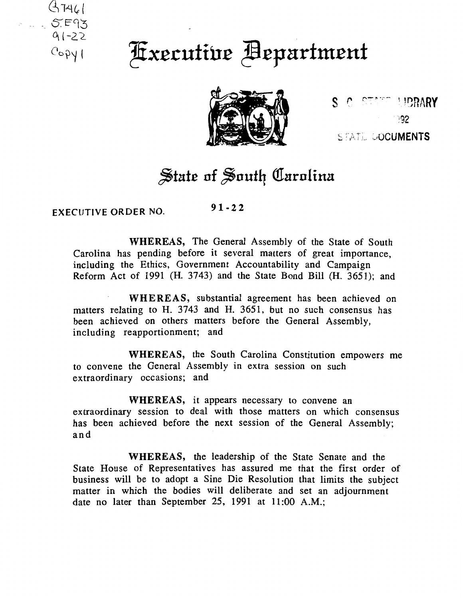

## $C_{\text{e-PP}}$  Hxecutive Department



S C STATE UBRARY ୍ର2 STATE DOCUMENTS

## State of South Carolina

## EXECUTIVE ORDER NO. 91-22

WHEREAS, The General Assembly of the State of South Carolina has pending before it several matters of great importance, including the Ethics, Government Accountability and Campaign Reform Act of 1991 (H. 3743) and the State Bond Bill (H. 3651); and

WHEREAS, substantial agreement has been achieved on matters relating to H. 3743 and H. 3651, but no such consensus has been achieved on others matters before the General Assembly, including reapportionment; and

WHEREAS, the South Carolina Constitution empowers me to convene the General Assembly in extra session on such extraordinary occasions; and

WHEREAS, it appears necessary to convene an extraordinary session to deal with those matters on which consensus has been achieved before the next session of the General Assembly; and

WHEREAS, the leadership of the State Senate and the State House of Representatives has assured me that the first order of business will be to adopt a Sine Die Resolution that limits the subject matter in which the bodies will deliberate and set an adjournment date no later than September 25, 1991 at 11:00 A.M.;